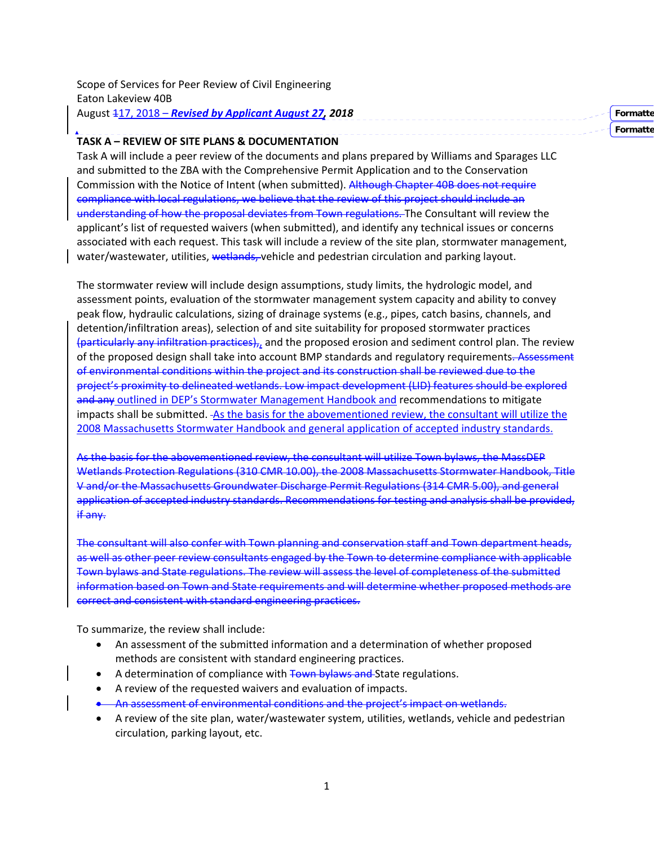| Scope of Services for Peer Review of Civil Engineering  |          |
|---------------------------------------------------------|----------|
| Eaton Lakeview 40B                                      |          |
| August 417, 2018 – Revised by Applicant August 27, 2018 | Formatte |

**Formatte**

### **TASK A – REVIEW OF SITE PLANS & DOCUMENTATION**

Task A will include a peer review of the documents and plans prepared by Williams and Sparages LLC and submitted to the ZBA with the Comprehensive Permit Application and to the Conservation Commission with the Notice of Intent (when submitted). Although Chapter 40B does not require compliance with local regulations, we believe that the review of this project should include an understanding of how the proposal deviates from Town regulations. The Consultant will review the applicant's list of requested waivers (when submitted), and identify any technical issues or concerns associated with each request. This task will include a review of the site plan, stormwater management, water/wastewater, utilities, wetlands, vehicle and pedestrian circulation and parking layout.

The stormwater review will include design assumptions, study limits, the hydrologic model, and assessment points, evaluation of the stormwater management system capacity and ability to convey peak flow, hydraulic calculations, sizing of drainage systems (e.g., pipes, catch basins, channels, and detention/infiltration areas), selection of and site suitability for proposed stormwater practices (particularly any infiltration practices),, and the proposed erosion and sediment control plan. The review of the proposed design shall take into account BMP standards and regulatory requirements. Assessment of environmental conditions within the project and its construction shall be reviewed due to the project's proximity to delineated wetlands. Low impact development (LID) features should be explored and any outlined in DEP's Stormwater Management Handbook and recommendations to mitigate impacts shall be submitted. As the basis for the abovementioned review, the consultant will utilize the 2008 Massachusetts Stormwater Handbook and general application of accepted industry standards.

As the basis for the abovementioned review, the consultant will utilize Town bylaws, the MassDEP Wetlands Protection Regulations (310 CMR 10.00), the 2008 Massachusetts Stormwater Handbook, Title V and/or the Massachusetts Groundwater Discharge Permit Regulations (314 CMR 5.00), and general application of accepted industry standards. Recommendations for testing and analysis shall be provided, if any.

The consultant will also confer with Town planning and conservation staff and Town department heads, as well as other peer review consultants engaged by the Town to determine compliance with applicable Town bylaws and State regulations. The review will assess the level of completeness of the submitted information based on Town and State requirements and will determine whether proposed methods are correct and consistent with standard engineering practices.

To summarize, the review shall include:

- An assessment of the submitted information and a determination of whether proposed methods are consistent with standard engineering practices.
- A determination of compliance with Town bylaws and State regulations.
- A review of the requested waivers and evaluation of impacts.
- **An assessment of environmental conditions and the project's impact on wetlands.**
- A review of the site plan, water/wastewater system, utilities, wetlands, vehicle and pedestrian circulation, parking layout, etc.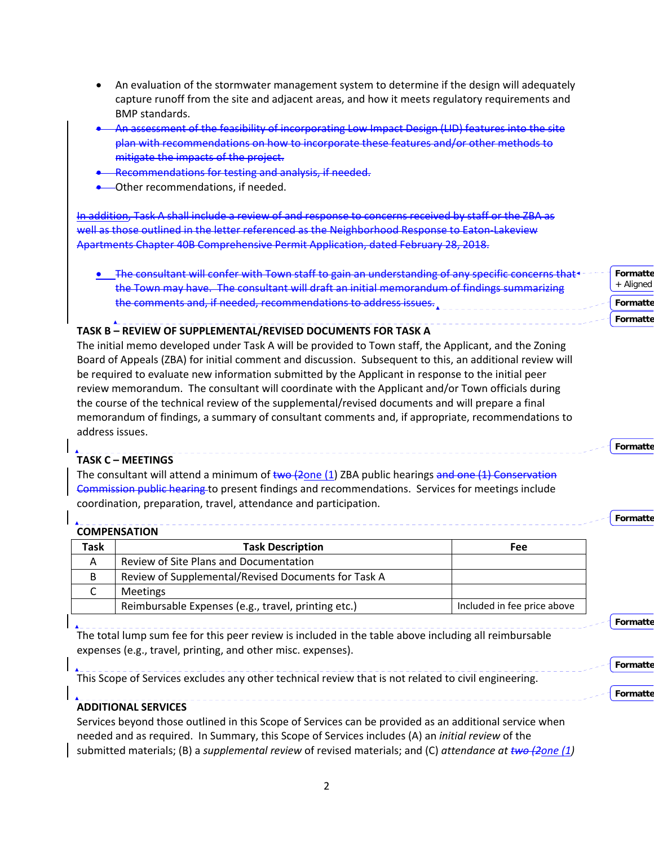- An evaluation of the stormwater management system to determine if the design will adequately capture runoff from the site and adjacent areas, and how it meets regulatory requirements and BMP standards.
- An assessment of the feasibility of incorporating Low Impact Design (LID) features into the site plan with recommendations on how to incorporate these features and/or other methods to mitigate the impacts of the project.
- Recommendations for testing and analysis, if needed.
- Other recommendations, if needed.

In addition, Task A shall include a review of and response to concerns received by staff or the ZBA as well as those outlined in the letter referenced as the Neighborhood Response to Eaton-Lakeview Apartments Chapter 40B Comprehensive Permit Application, dated February 28, 2018.

**.** The consultant will confer with Town staff to gain an understanding of any specific concerns that the Town may have. The consultant will draft an initial memorandum of findings summarizing the comments and, if needed, recommendations to address issues **Formatte** + Aligned **Formatte**

**Formatte**

**Formatte**

**Formatte**

**Formatte**

**Formatte**

**Formatte**

# **TASK B – REVIEW OF SUPPLEMENTAL/REVISED DOCUMENTS FOR TASK A**

The initial memo developed under Task A will be provided to Town staff, the Applicant, and the Zoning Board of Appeals (ZBA) for initial comment and discussion. Subsequent to this, an additional review will be required to evaluate new information submitted by the Applicant in response to the initial peer review memorandum. The consultant will coordinate with the Applicant and/or Town officials during the course of the technical review of the supplemental/revised documents and will prepare a final memorandum of findings, a summary of consultant comments and, if appropriate, recommendations to address issues.

# **TASK C – MEETINGS**

The consultant will attend a minimum of  $t$ wo (2one (1) ZBA public hearings and one (1) Conservation Commission public hearing to present findings and recommendations. Services for meetings include coordination, preparation, travel, attendance and participation.

# **COMPENSATION**

| Task | <b>Task Description</b>                             | Fee                         |
|------|-----------------------------------------------------|-----------------------------|
| Α    | Review of Site Plans and Documentation              |                             |
| B    | Review of Supplemental/Revised Documents for Task A |                             |
|      | <b>Meetings</b>                                     |                             |
|      | Reimbursable Expenses (e.g., travel, printing etc.) | Included in fee price above |

The total lump sum fee for this peer review is included in the table above including all reimbursable expenses (e.g., travel, printing, and other misc. expenses).

This Scope of Services excludes any other technical review that is not related to civil engineering.

# **ADDITIONAL SERVICES**

Services beyond those outlined in this Scope of Services can be provided as an additional service when needed and as required. In Summary, this Scope of Services includes (A) an *initial review* of the submitted materials; (B) a *supplemental review* of revised materials; and (C) *attendance at two (2one (1)*